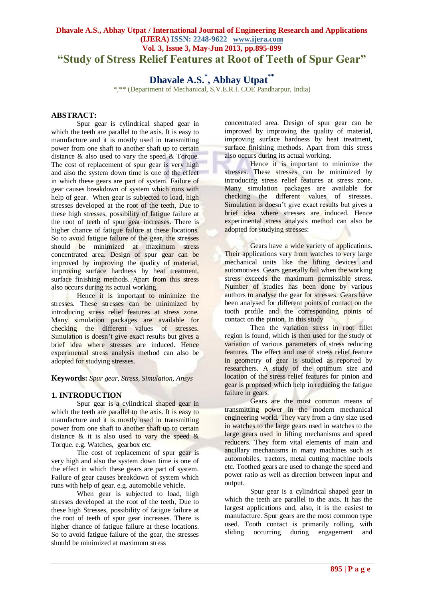## **Dhavale A.S., Abhay Utpat / International Journal of Engineering Research and Applications (IJERA) ISSN: 2248-9622 www.ijera.com Vol. 3, Issue 3, May-Jun 2013, pp.895-899 "Study of Stress Relief Features at Root of Teeth of Spur Gear"**

# **Dhavale A.S.\* , Abhay Utpat\*\***

\*,\*\* (Department of Mechanical, S.V.E.R.I. COE Pandharpur, India)

## **ABSTRACT:**

Spur gear is cylindrical shaped gear in which the teeth are parallel to the axis. It is easy to manufacture and it is mostly used in transmitting power from one shaft to another shaft up to certain distance & also used to vary the speed & Torque. The cost of replacement of spur gear is very high and also the system down time is one of the effect in which these gears are part of system. Failure of gear causes breakdown of system which runs with help of gear. When gear is subjected to load, high stresses developed at the root of the teeth, Due to these high stresses, possibility of fatigue failure at the root of teeth of spur gear increases. There is higher chance of fatigue failure at these locations. So to avoid fatigue failure of the gear, the stresses should be minimized at maximum stress concentrated area. Design of spur gear can be improved by improving the quality of material, improving surface hardness by heat treatment, surface finishing methods. Apart from this stress also occurs during its actual working.

Hence it is important to minimize the stresses. These stresses can be minimized by introducing stress relief features at stress zone. Many simulation packages are available for checking the different values of stresses. Simulation is doesn't give exact results but gives a brief idea where stresses are induced. Hence experimental stress analysis method can also be adopted for studying stresses.

**Keywords:** *Spur gear, Stress, Simulation, Ansys*

## **1. INTRODUCTION**

Spur gear is a cylindrical shaped gear in which the teeth are parallel to the axis. It is easy to manufacture and it is mostly used in transmitting power from one shaft to another shaft up to certain distance  $\&$  it is also used to vary the speed  $\&$ Torque. e.g. Watches, gearbox etc.

The cost of replacement of spur gear is very high and also the system down time is one of the effect in which these gears are part of system. Failure of gear causes breakdown of system which runs with help of gear. e.g. automobile vehicle.

When gear is subjected to load, high stresses developed at the root of the teeth, Due to these high Stresses, possibility of fatigue failure at the root of teeth of spur gear increases. There is higher chance of fatigue failure at these locations. So to avoid fatigue failure of the gear, the stresses should be minimized at maximum stress

concentrated area. Design of spur gear can be improved by improving the quality of material, improving surface hardness by heat treatment, surface finishing methods. Apart from this stress also occurs during its actual working.

Hence it is important to minimize the stresses. These stresses can be minimized by introducing stress relief features at stress zone. Many simulation packages are available for checking the different values of stresses. Simulation is doesn't give exact results but gives a brief idea where stresses are induced. Hence experimental stress analysis method can also be adopted for studying stresses:

Gears have a wide variety of applications. Their applications vary from watches to very large mechanical units like the lifting devices and automotives. Gears generally fail when the working stress exceeds the maximum permissible stress. Number of studies has been done by various authors to analyse the gear for stresses. Gears have been analysed for different points of contact on the tooth profile and the corresponding points of contact on the pinion. In this study

Then the variation stress in root fillet region is found, which is then used for the study of variation of various parameters of stress reducing features. The effect and use of stress relief feature in geometry of gear is studied as reported by researchers. A study of the optimum size and location of the stress relief features for pinion and gear is proposed which help in reducing the fatigue failure in gears.

Gears are the most common means of transmitting power in the modern mechanical engineering world. They vary from a tiny size used in watches to the large gears used in watches to the large gears used in lifting mechanisms and speed reducers. They form vital elements of main and ancillary mechanisms in many machines such as automobiles, tractors, metal cutting machine tools etc. Toothed gears are used to change the speed and power ratio as well as direction between input and output.

Spur gear is a cylindrical shaped gear in which the teeth are parallel to the axis. It has the largest applications and, also, it is the easiest to manufacture. Spur gears are the most common type used. Tooth contact is primarily rolling, with sliding occurring during engagement and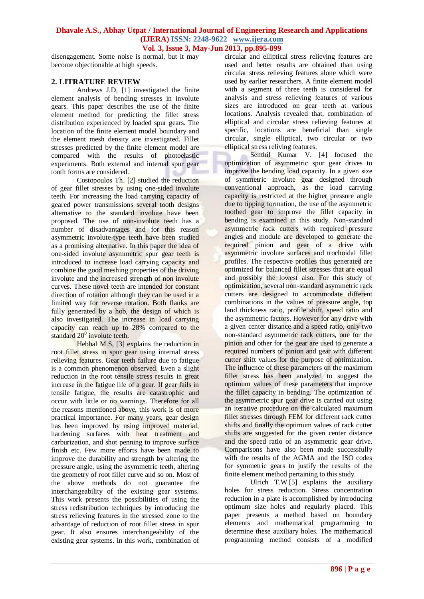disengagement. Some noise is normal, but it may become objectionable at high speeds.

## **2. LITRATURE REVIEW**

Andrews J.D, [1] investigated the finite element analysis of bending stresses in involute gears. This paper describes the use of the finite element method for predicting the fillet stress distribution experienced by loaded spur gears. The location of the finite element model boundary and the element mesh density are investigated. Fillet stresses predicted by the finite element model are compared with the results of photoelastic experiments. Both external and internal spur gear tooth forms are considered.

Costopoulos Th. [2] studied the reduction of gear fillet stresses by using one-sided involute teeth. For increasing the load carrying capacity of geared power transmissions several tooth designs alternative to the standard involute have been proposed. The use of non-involute teeth has a number of disadvantages and for this reason asymmetric involute-type teeth have been studied as a promising alternative. In this paper the idea of one-sided involute asymmetric spur gear teeth is introduced to increase load carrying capacity and combine the good meshing properties of the driving involute and the increased strength of non involute curves. These novel teeth are intended for constant direction of rotation although they can be used in a limited way for reverse rotation. Both flanks are fully generated by a hob, the design of which is also investigated. The increase in load carrying capacity can reach up to 28% compared to the standard  $20^0$  involute teeth.

Hebbal M.S, [3] explains the reduction in root fillet stress in spur gear using internal stress relieving features. Gear teeth failure due to fatigue is a common phenomenon observed. Even a slight reduction in the root tensile stress results in great increase in the fatigue life of a gear. If gear fails in tensile fatigue, the results are catastrophic and occur with little or no warnings. Therefore for all the reasons mentioned above, this work is of more practical importance. For many years, gear design has been improved by using improved material, hardening surfaces with heat treatment and carburization, and shot penning to improve surface finish etc. Few more efforts have been made to improve the durability and strength by altering the pressure angle, using the asymmetric teeth, altering the geometry of root fillet curve and so on. Most of the above methods do not guarantee the interchangeability of the existing gear systems. This work presents the possibilities of using the stress redistribution techniques by introducing the stress relieving features in the stressed zone to the advantage of reduction of root fillet stress in spur gear. It also ensures interchangeability of the existing gear systems. In this work, combination of circular and elliptical stress relieving features are used and better results are obtained than using circular stress relieving features alone which were used by earlier researchers. A finite element model with a segment of three teeth is considered for analysis and stress relieving features of various sizes are introduced on gear teeth at various locations. Analysis revealed that, combination of elliptical and circular stress relieving features at specific, locations are beneficial than single circular, single elliptical, two circular or two elliptical stress reliving features.

Senthil Kumar V. [4] focused the optimization of asymmetric spur gear drives to improve the bending load capacity. In a given size of symmetric involute gear designed through conventional approach, as the load carrying capacity is restricted at the higher pressure angle due to tipping formation, the use of the asymmetric toothed gear to improve the fillet capacity in bending is examined in this study. Non-standard asymmetric rack cutters with required pressure angles and module are developed to generate the required pinion and gear of a drive with asymmetric involute surfaces and trochoidal fillet profiles. The respective profiles thus generated are optimized for balanced fillet stresses that are equal and possibly the lowest also. For this study of optimization, several non-standard asymmetric rack cutters are designed to accommodate different combinations in the values of pressure angle, top land thickness ratio, profile shift, speed ratio and the asymmetric factors. However for any drive with a given center distance and a speed ratio, only two non-standard asymmetric rack cutters, one for the pinion and other for the gear are used to generate a required numbers of pinion and gear with different cutter shift values for the purpose of optimization. The influence of these parameters on the maximum fillet stress has been analyzed to suggest the optimum values of these parameters that improve the fillet capacity in bending. The optimization of the asymmetric spur gear drive is carried out using an iterative procedure on the calculated maximum fillet stresses through FEM for different rack cutter shifts and finally the optimum values of rack cutter shifts are suggested for the given center distance and the speed ratio of an asymmetric gear drive. Comparisons have also been made successfully with the results of the AGMA and the ISO codes for symmetric gears to justify the results of the finite element method pertaining to this study.

Ulrich T.W.[5] explains the auxiliary holes for stress reduction. Stress concentration reduction in a plate is accomplished by introducing optimum size holes and regularly placed. This paper presents a method based on boundary elements and mathematical programming to determine these auxiliary holes. The mathematical programming method consists of a modified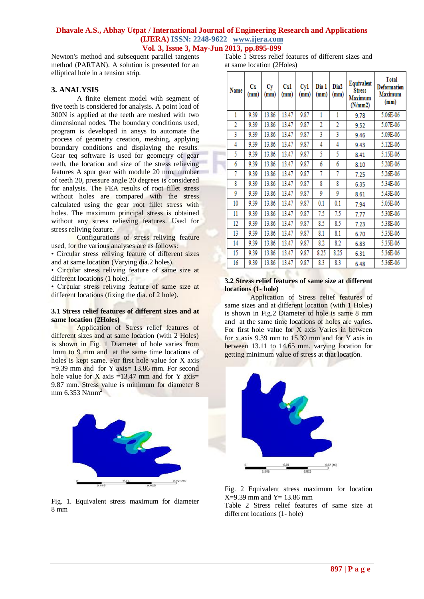Newton's method and subsequent parallel tangents method (PARTAN). A solution is presented for an elliptical hole in a tension strip.

#### **3. ANALYSIS**

A finite element model with segment of five teeth is considered for analysis. A point load of 300N is applied at the teeth are meshed with two dimensional nodes. The boundary conditions used, program is developed in ansys to automate the process of geometry creation, meshing, applying boundary conditions and displaying the results. Gear teq software is used for geometry of gear teeth, the location and size of the stress relieving features A spur gear with module 20 mm, number of teeth 20, pressure angle 20 degrees is considered for analysis. The FEA results of root fillet stress without holes are compared with the stress calculated using the gear root fillet stress with holes. The maximum principal stress is obtained without any stress relieving features. Used for stress reliving feature.

Configurations of stress reliving feature used, for the various analyses are as follows:

• Circular stress reliving feature of different sizes and at same location (Varying dia.2 holes).

• Circular stress reliving feature of same size at different locations (1 hole).

• Circular stress reliving feature of same size at different locations (fixing the dia. of 2 hole).

#### **3.1 Stress relief features of different sizes and at same location (2Holes)**

Application of Stress relief features of different sizes and at same location (with 2 Holes) is shown in Fig. 1 Diameter of hole varies from 1mm to 9 mm and at the same time locations of holes is kept same. For first hole value for X axis  $=9.39$  mm and for Y axis= 13.86 mm. For second hole value for X axis =13.47 mm and for Y axis= 9.87 mm. Stress value is minimum for diameter 8 mm  $6.353$  N/mm<sup>2</sup>



Fig. 1. Equivalent stress maximum for diameter 8 mm

Table 1 Stress relief features of different sizes and at same location (2Holes)

| Name           | Сx<br>(mm) | Сy<br>(mm) | Cxl<br>(mm) | Cyl<br>(mm) | Dia 1<br>(mm)  | Dia <sub>2</sub><br>(mm) | Equivalent<br><b>Stress</b><br>Maximum<br>(N/mm 2) | <b>Total</b><br><b>Deformation</b><br>Maximum<br>(mm) |
|----------------|------------|------------|-------------|-------------|----------------|--------------------------|----------------------------------------------------|-------------------------------------------------------|
| 1              | 9.39       | 13.86      | 13.47       | 9.87        | 1              | 1                        | 9.78                                               | 5.06E-06                                              |
| $\overline{2}$ | 9.39       | 13.86      | 13.47       | 9.87        | $\overline{2}$ | $\overline{2}$           | 9.52                                               | 5.07E-06                                              |
| 3              | 9.39       | 13.86      | 13.47       | 9.87        | 3              | 3                        | 9.46                                               | 5.09E-06                                              |
| 4              | 9.39       | 13.86      | 13.47       | 9.87        | 4              | 4                        | 9.43                                               | 5.12E-06                                              |
| 5              | 9.39       | 13.86      | 13.47       | 9.87        | 5              | 5                        | 8.41                                               | 5.15E-06                                              |
| 6              | 9.39       | 13.86      | 13.47       | 9.87        | 6              | 6                        | 8.10                                               | 5.20E-06                                              |
| 7              | 9.39       | 13.86      | 13.47       | 9.87        | 7              | 7                        | 7.25                                               | 5.26E-06                                              |
| 8              | 9.39       | 13.86      | 13.47       | 9.87        | 8              | 8                        | 6.35                                               | 5.34E-06                                              |
| 9              | 9.39       | 13.86      | 13.47       | 9.87        | 9              | 9                        | 8.61                                               | 5.43E-06                                              |
| 10             | 9.39       | 13.86      | 13.47       | 9.87        | 0.1            | 0.1                      | 7.94                                               | 5.05E-06                                              |
| 11             | 9.39       | 13.86      | 13.47       | 9.87        | 7.5            | 7.5                      | 7.77                                               | 5.30E-06                                              |
| 12             | 9.39       | 13.86      | 13.47       | 9.87        | 8.5            | 8.5                      | 7.23                                               | 5.38E-06                                              |
| 13             | 9.39       | 13.86      | 13.47       | 9.87        | 8.1            | 8.1                      | 6.70                                               | 5.35E-06                                              |
| 14             | 9.39       | 13.86      | 13.47       | 9.87        | 8.2            | 8.2                      | 6.83                                               | 5.35E-06                                              |
| 15             | 9.39       | 13.86      | 13.47       | 9.87        | 8.25           | 8.25                     | 6.31                                               | 5.36E-06                                              |
| 16             | 9.39       | 13.86      | 13.47       | 9.87        | 8.3            | 8.3                      | 6.48                                               | 5.36E-06                                              |

#### **3.2 Stress relief features of same size at different locations (1- hole)**

Application of Stress relief features of same sizes and at different location (with 1 Holes) is shown in Fig.2 Diameter of hole is same 8 mm and at the same time locations of holes are varies. For first hole value for X axis Varies in between for x axis 9.39 mm to 15.39 mm and for Y axis in between 13.11 to 14.65 mm. varying location for getting minimum value of stress at that location.



Fig. 2 Equivalent stress maximum for location  $X=9.39$  mm and  $Y=13.86$  mm

Table 2 Stress relief features of same size at different locations (1- hole)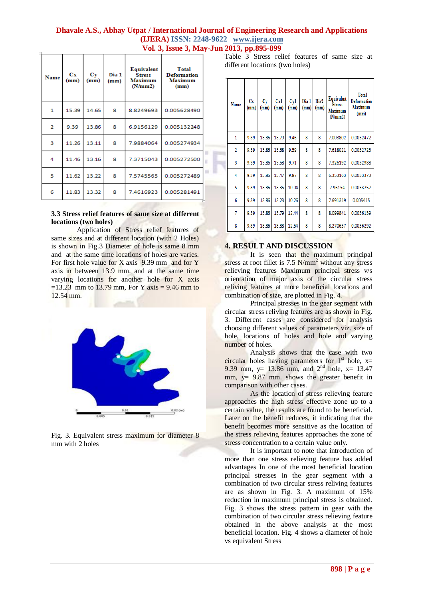| Name           | $_{\rm{Cx}}$<br>(mm) | Сy<br>(mm) | Dia 1<br>(mm) | Equivalent<br><b>Stress</b><br><b>Maximum</b><br>(N/mm 2) | <b>Total</b><br><b>Deformation</b><br><b>Maximum</b><br>(mm) |  |
|----------------|----------------------|------------|---------------|-----------------------------------------------------------|--------------------------------------------------------------|--|
| 1              | 15.39                | 14.65      | 8             | 8.8249693                                                 | 0.005628490                                                  |  |
| $\overline{2}$ | 9.39                 | 13.86      | 8             | 6.9156129                                                 | 0.005132248                                                  |  |
| з              | 11.26                | 13.11      | 8             | 7.9884064                                                 | 0.005274934                                                  |  |
| 4              | 11.46                | 13.16      | 8             | 7.3715043                                                 | 0.005272500                                                  |  |
| 5              | 11.62                | 13.22      | 8             | 7.5745565                                                 | 0.005272489                                                  |  |
| 6              | 11.83                | 13.32      | 8             | 7.4616923                                                 | 0.005281491                                                  |  |

#### **3.3 Stress relief features of same size at different locations (two holes)**

Application of Stress relief features of same sizes and at different location (with 2 Holes) is shown in Fig.3 Diameter of hole is same 8 mm and at the same time locations of holes are varies. For first hole value for X axis  $9.39$  mm and for Y axis in between 13.9 mm. and at the same time varying locations for another hole for X axis  $=13.23$  mm to 13.79 mm, For Y axis = 9.46 mm to 12.54 mm.



Fig. 3. Equivalent stress maximum for diameter 8 mm with 2 holes

Table 3 Stress relief features of same size at different locations (two holes)

| Name           | Cх<br>(mm) | Сy<br>(mm) | Cxl<br>(mm) | Cyl<br>(mm) | Dia 1<br>(mm) | Dia2<br>(mm) | Equivalent<br><b>Stress</b><br>Maximum<br>(N/mm 2) | <b>Total</b><br><b>Deformation</b><br><b>Maximum</b><br>(mm) |
|----------------|------------|------------|-------------|-------------|---------------|--------------|----------------------------------------------------|--------------------------------------------------------------|
| 1              | 9.39       | 13.86      | 13.79       | 9.46        | 8             | 8            | 7.003802                                           | 0.0052472                                                    |
| $\overline{2}$ | 9.39       | 13.86      | 13.68       | 9.59        | 8             | 8            | 7.618021                                           | 0.0052725                                                    |
| 3              | 9.39       | 13.86      | 13.58       | 9.71        | 8             | 8            | 7.326192                                           | 0.0052988                                                    |
| 4              | 9.39       | 13.86      | 13.47       | 9.87        | 8             | 8            | 6.353163                                           | 0.0053373                                                    |
| 5              | 9.39       | 13.86      | 13.35       | 10.04       | 8             | 8            | 7.96154                                            | 0.0053757                                                    |
| 6              | 9.39       | 13.86      | 13.23       | 10.26       | 8             | 8            | 7.691319                                           | 0.005415                                                     |
| 7              | 9.39       | 13.86      | 13.79       | 12.44       | 8             | 8            | 8.099841                                           | 0.0056139                                                    |
| 8              | 9.39       | 13.86      | 13.88       | 12.54       | 8             | 8            | 8.270657                                           | 0.0056292                                                    |

## **4. RESULT AND DISCUSSION**

It is seen that the maximum principal stress at root fillet is  $7.5$  N/mm<sup>2</sup> without any stress relieving features Maximum principal stress v/s orientation of major axis of the circular stress reliving features at more beneficial locations and combination of size, are plotted in Fig. 4.

Principal stresses in the gear segment with circular stress reliving features are as shown in Fig. 3. Different cases are considered for analysis choosing different values of parameters viz. size of hole, locations of holes and hole and varying number of holes.

Analysis shows that the case with two circular holes having parameters for  $1<sup>st</sup>$  hole, x= 9.39 mm,  $y= 13.86$  mm, and  $2<sup>nd</sup>$  hole,  $x= 13.47$ mm,  $y = 9.87$  mm. shows the greater benefit in comparison with other cases*.*

As the location of stress relieving feature approaches the high stress effective zone up to a certain value, the results are found to be beneficial. Later on the benefit reduces, it indicating that the benefit becomes more sensitive as the location of the stress relieving features approaches the zone of stress concentration to a certain value only.

It is important to note that introduction of more than one stress relieving feature has added advantages In one of the most beneficial location principal stresses in the gear segment with a combination of two circular stress reliving features are as shown in Fig. 3. A maximum of 15% reduction in maximum principal stress is obtained. Fig. 3 shows the stress pattern in gear with the combination of two circular stress relieving feature obtained in the above analysis at the most beneficial location. Fig. 4 shows a diameter of hole vs equivalent Stress